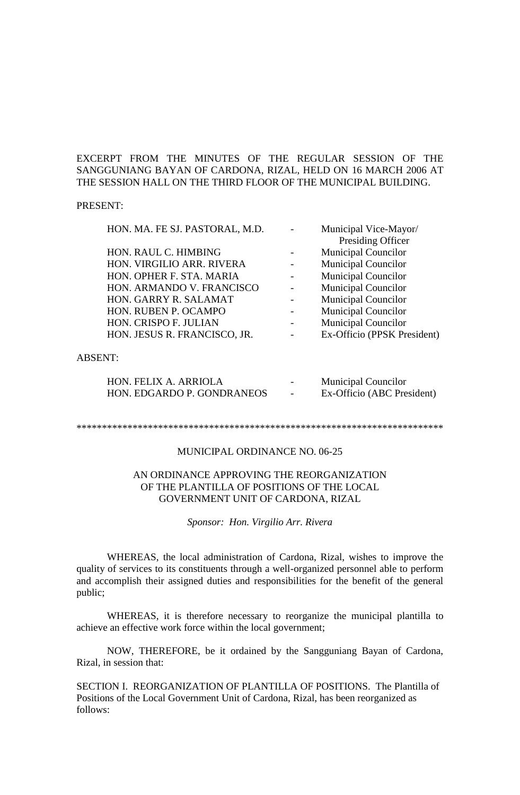## EXCERPT FROM THE MINUTES OF THE REGULAR SESSION OF THE SANGGUNIANG BAYAN OF CARDONA, RIZAL, HELD ON 16 MARCH 2006 AT THE SESSION HALL ON THE THIRD FLOOR OF THE MUNICIPAL BUILDING.

#### PRESENT:

| HON. MA. FE SJ. PASTORAL, M.D. | Municipal Vice-Mayor/       |
|--------------------------------|-----------------------------|
|                                | Presiding Officer           |
| HON. RAUL C. HIMBING           | <b>Municipal Councilor</b>  |
| HON. VIRGILIO ARR. RIVERA      | <b>Municipal Councilor</b>  |
| HON. OPHER F. STA. MARIA       | <b>Municipal Councilor</b>  |
| HON. ARMANDO V. FRANCISCO      | <b>Municipal Councilor</b>  |
| HON. GARRY R. SALAMAT          | <b>Municipal Councilor</b>  |
| HON. RUBEN P. OCAMPO           | <b>Municipal Councilor</b>  |
| HON. CRISPO F. JULIAN          | <b>Municipal Councilor</b>  |
| HON. JESUS R. FRANCISCO, JR.   | Ex-Officio (PPSK President) |
|                                |                             |
|                                |                             |

#### ABSENT:

| HON. FELIX A. ARRIOLA      | $\overline{\phantom{0}}$ | <b>Municipal Councilor</b> |
|----------------------------|--------------------------|----------------------------|
| HON. EDGARDO P. GONDRANEOS | $\sim$                   | Ex-Officio (ABC President) |

#### \*\*\*\*\*\*\*\*\*\*\*\*\*\*\*\*\*\*\*\*\*\*\*\*\*\*\*\*\*\*\*\*\*\*\*\*\*\*\*\*\*\*\*\*\*\*\*\*\*\*\*\*\*\*\*\*\*\*\*\*\*\*\*\*\*\*\*\*\*\*\*\*

# MUNICIPAL ORDINANCE NO. 06-25

## AN ORDINANCE APPROVING THE REORGANIZATION OF THE PLANTILLA OF POSITIONS OF THE LOCAL GOVERNMENT UNIT OF CARDONA, RIZAL

*Sponsor: Hon. Virgilio Arr. Rivera*

WHEREAS, the local administration of Cardona, Rizal, wishes to improve the quality of services to its constituents through a well-organized personnel able to perform and accomplish their assigned duties and responsibilities for the benefit of the general public;

WHEREAS, it is therefore necessary to reorganize the municipal plantilla to achieve an effective work force within the local government;

NOW, THEREFORE, be it ordained by the Sangguniang Bayan of Cardona, Rizal, in session that:

SECTION I. REORGANIZATION OF PLANTILLA OF POSITIONS. The Plantilla of Positions of the Local Government Unit of Cardona, Rizal, has been reorganized as follows: